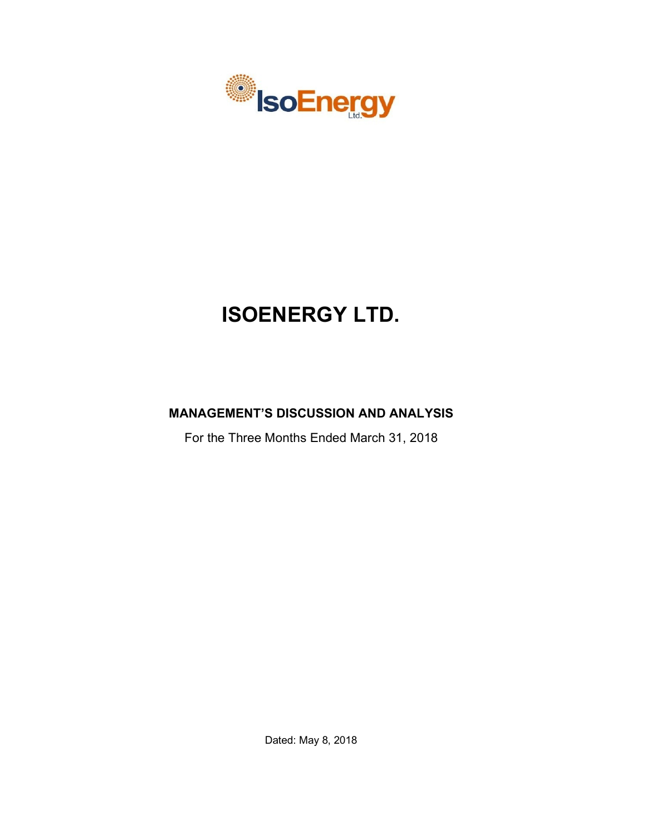

# **ISOENERGY LTD.**

# **MANAGEMENT'S DISCUSSION AND ANALYSIS**

For the Three Months Ended March 31, 2018

Dated: May 8, 2018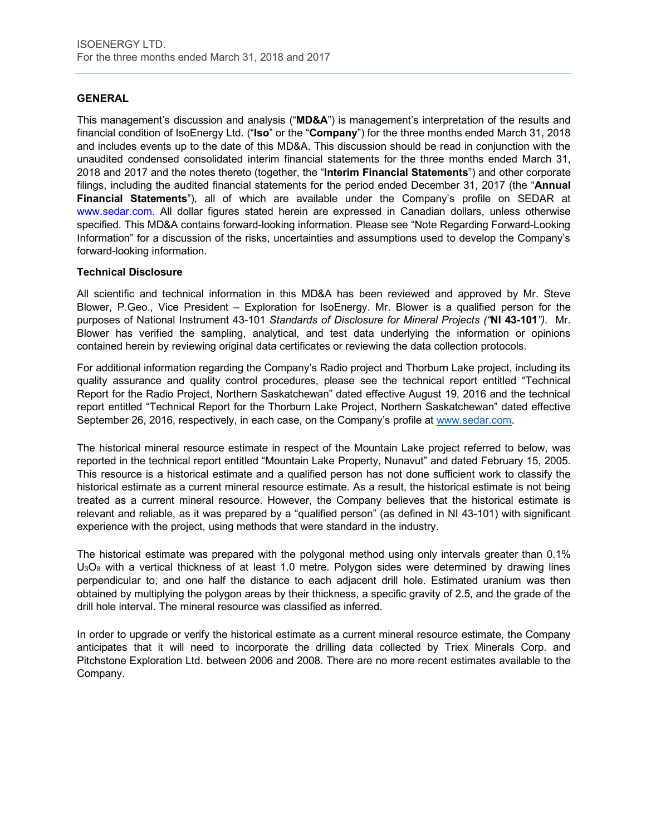# **GENERAL**

This management's discussion and analysis ("**MD&A**") is management's interpretation of the results and financial condition of IsoEnergy Ltd. ("**Iso**" or the "**Company**") for the three months ended March 31, 2018 and includes events up to the date of this MD&A. This discussion should be read in conjunction with the unaudited condensed consolidated interim financial statements for the three months ended March 31, 2018 and 2017 and the notes thereto (together, the "**Interim Financial Statements**") and other corporate filings, including the audited financial statements for the period ended December 31, 2017 (the "**Annual Financial Statements**"), all of which are available under the Company's profile on SEDAR at www.sedar.com. All dollar figures stated herein are expressed in Canadian dollars, unless otherwise specified. This MD&A contains forward-looking information. Please see "Note Regarding Forward-Looking Information" for a discussion of the risks, uncertainties and assumptions used to develop the Company's forward-looking information.

# **Technical Disclosure**

All scientific and technical information in this MD&A has been reviewed and approved by Mr. Steve Blower, P.Geo., Vice President – Exploration for IsoEnergy. Mr. Blower is a qualified person for the purposes of National Instrument 43-101 *Standards of Disclosure for Mineral Projects ("***NI 43-101***")*. Mr. Blower has verified the sampling, analytical, and test data underlying the information or opinions contained herein by reviewing original data certificates or reviewing the data collection protocols.

For additional information regarding the Company's Radio project and Thorburn Lake project, including its quality assurance and quality control procedures, please see the technical report entitled "Technical Report for the Radio Project, Northern Saskatchewan" dated effective August 19, 2016 and the technical report entitled "Technical Report for the Thorburn Lake Project, Northern Saskatchewan" dated effective September 26, 2016, respectively, in each case, on the Company's profile at www.sedar.com.

The historical mineral resource estimate in respect of the Mountain Lake project referred to below, was reported in the technical report entitled "Mountain Lake Property, Nunavut" and dated February 15, 2005. This resource is a historical estimate and a qualified person has not done sufficient work to classify the historical estimate as a current mineral resource estimate. As a result, the historical estimate is not being treated as a current mineral resource. However, the Company believes that the historical estimate is relevant and reliable, as it was prepared by a "qualified person" (as defined in NI 43-101) with significant experience with the project, using methods that were standard in the industry.

The historical estimate was prepared with the polygonal method using only intervals greater than 0.1%  $U_3O_8$  with a vertical thickness of at least 1.0 metre. Polygon sides were determined by drawing lines perpendicular to, and one half the distance to each adjacent drill hole. Estimated uranium was then obtained by multiplying the polygon areas by their thickness, a specific gravity of 2.5, and the grade of the drill hole interval. The mineral resource was classified as inferred.

In order to upgrade or verify the historical estimate as a current mineral resource estimate, the Company anticipates that it will need to incorporate the drilling data collected by Triex Minerals Corp. and Pitchstone Exploration Ltd. between 2006 and 2008. There are no more recent estimates available to the Company.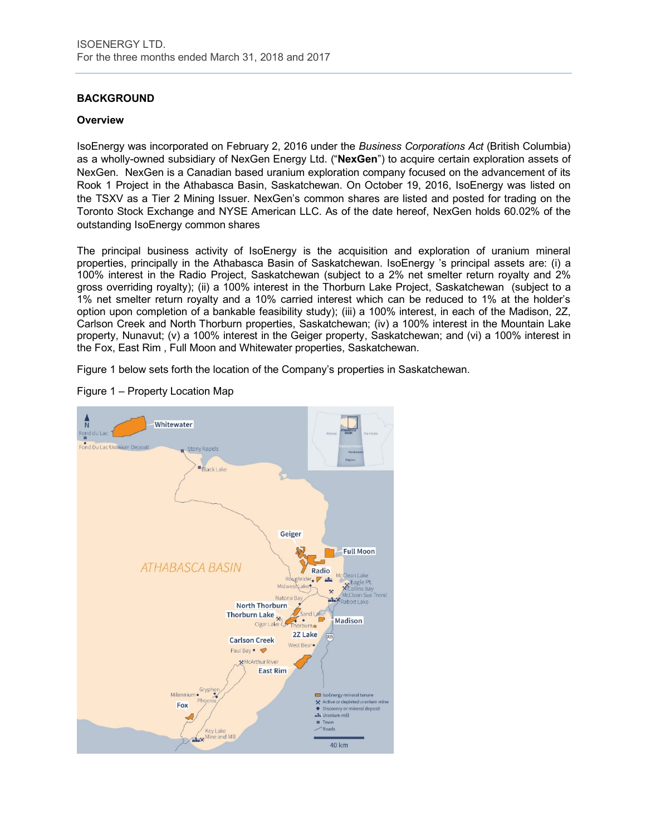# **BACKGROUND**

#### **Overview**

IsoEnergy was incorporated on February 2, 2016 under the *Business Corporations Act* (British Columbia) as a wholly-owned subsidiary of NexGen Energy Ltd. ("**NexGen**") to acquire certain exploration assets of NexGen. NexGen is a Canadian based uranium exploration company focused on the advancement of its Rook 1 Project in the Athabasca Basin, Saskatchewan. On October 19, 2016, IsoEnergy was listed on the TSXV as a Tier 2 Mining Issuer. NexGen's common shares are listed and posted for trading on the Toronto Stock Exchange and NYSE American LLC. As of the date hereof, NexGen holds 60.02% of the outstanding IsoEnergy common shares

The principal business activity of IsoEnergy is the acquisition and exploration of uranium mineral properties, principally in the Athabasca Basin of Saskatchewan. IsoEnergy 's principal assets are: (i) a 100% interest in the Radio Project, Saskatchewan (subject to a 2% net smelter return royalty and 2% gross overriding royalty); (ii) a 100% interest in the Thorburn Lake Project, Saskatchewan (subject to a 1% net smelter return royalty and a 10% carried interest which can be reduced to 1% at the holder's option upon completion of a bankable feasibility study); (iii) a 100% interest, in each of the Madison, 2Z, Carlson Creek and North Thorburn properties, Saskatchewan; (iv) a 100% interest in the Mountain Lake property, Nunavut; (v) a 100% interest in the Geiger property, Saskatchewan; and (vi) a 100% interest in the Fox, East Rim , Full Moon and Whitewater properties, Saskatchewan.

Figure 1 below sets forth the location of the Company's properties in Saskatchewan.



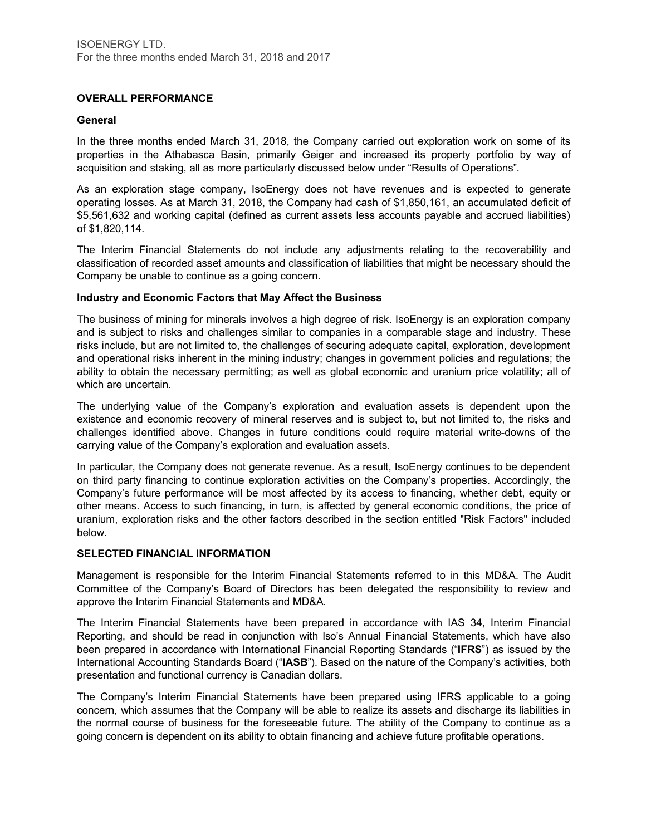# **OVERALL PERFORMANCE**

#### **General**

In the three months ended March 31, 2018, the Company carried out exploration work on some of its properties in the Athabasca Basin, primarily Geiger and increased its property portfolio by way of acquisition and staking, all as more particularly discussed below under "Results of Operations".

As an exploration stage company, IsoEnergy does not have revenues and is expected to generate operating losses. As at March 31, 2018, the Company had cash of \$1,850,161, an accumulated deficit of \$5,561,632 and working capital (defined as current assets less accounts payable and accrued liabilities) of \$1,820,114.

The Interim Financial Statements do not include any adjustments relating to the recoverability and classification of recorded asset amounts and classification of liabilities that might be necessary should the Company be unable to continue as a going concern.

#### **Industry and Economic Factors that May Affect the Business**

The business of mining for minerals involves a high degree of risk. IsoEnergy is an exploration company and is subject to risks and challenges similar to companies in a comparable stage and industry. These risks include, but are not limited to, the challenges of securing adequate capital, exploration, development and operational risks inherent in the mining industry; changes in government policies and regulations; the ability to obtain the necessary permitting; as well as global economic and uranium price volatility; all of which are uncertain.

The underlying value of the Company's exploration and evaluation assets is dependent upon the existence and economic recovery of mineral reserves and is subject to, but not limited to, the risks and challenges identified above. Changes in future conditions could require material write-downs of the carrying value of the Company's exploration and evaluation assets.

In particular, the Company does not generate revenue. As a result, IsoEnergy continues to be dependent on third party financing to continue exploration activities on the Company's properties. Accordingly, the Company's future performance will be most affected by its access to financing, whether debt, equity or other means. Access to such financing, in turn, is affected by general economic conditions, the price of uranium, exploration risks and the other factors described in the section entitled "Risk Factors" included below.

#### **SELECTED FINANCIAL INFORMATION**

Management is responsible for the Interim Financial Statements referred to in this MD&A. The Audit Committee of the Company's Board of Directors has been delegated the responsibility to review and approve the Interim Financial Statements and MD&A.

The Interim Financial Statements have been prepared in accordance with IAS 34, Interim Financial Reporting, and should be read in conjunction with Iso's Annual Financial Statements, which have also been prepared in accordance with International Financial Reporting Standards ("**IFRS**") as issued by the International Accounting Standards Board ("**IASB**"). Based on the nature of the Company's activities, both presentation and functional currency is Canadian dollars.

The Company's Interim Financial Statements have been prepared using IFRS applicable to a going concern, which assumes that the Company will be able to realize its assets and discharge its liabilities in the normal course of business for the foreseeable future. The ability of the Company to continue as a going concern is dependent on its ability to obtain financing and achieve future profitable operations.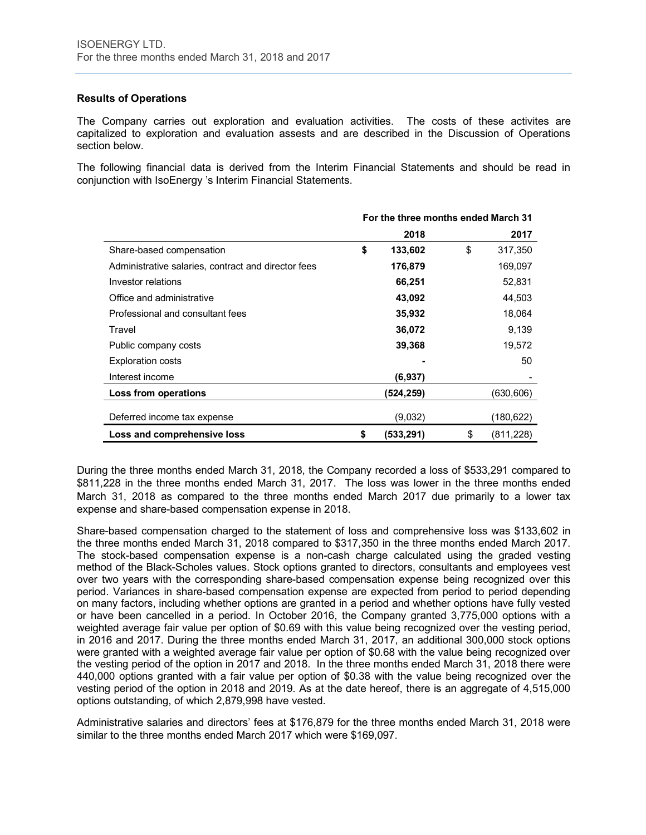# **Results of Operations**

The Company carries out exploration and evaluation activities. The costs of these activites are capitalized to exploration and evaluation assests and are described in the Discussion of Operations section below.

The following financial data is derived from the Interim Financial Statements and should be read in conjunction with IsoEnergy 's Interim Financial Statements.

|                                                     | For the three months ended March 31 |           |    |            |  |
|-----------------------------------------------------|-------------------------------------|-----------|----|------------|--|
|                                                     |                                     | 2018      |    | 2017       |  |
| Share-based compensation                            | \$                                  | 133,602   | \$ | 317,350    |  |
| Administrative salaries, contract and director fees |                                     | 176,879   |    | 169,097    |  |
| Investor relations                                  |                                     | 66,251    |    | 52,831     |  |
| Office and administrative                           |                                     | 43,092    |    | 44,503     |  |
| Professional and consultant fees                    |                                     | 35,932    |    | 18,064     |  |
| Travel                                              |                                     | 36,072    |    | 9,139      |  |
| Public company costs                                |                                     | 39,368    |    | 19,572     |  |
| <b>Exploration costs</b>                            |                                     |           |    | 50         |  |
| Interest income                                     |                                     | (6.937)   |    |            |  |
| Loss from operations                                |                                     | (524,259) |    | (630,606)  |  |
| Deferred income tax expense                         |                                     | (9,032)   |    | (180,622)  |  |
| Loss and comprehensive loss                         | \$                                  | (533,291) | \$ | (811, 228) |  |

During the three months ended March 31, 2018, the Company recorded a loss of \$533,291 compared to \$811,228 in the three months ended March 31, 2017. The loss was lower in the three months ended March 31, 2018 as compared to the three months ended March 2017 due primarily to a lower tax expense and share-based compensation expense in 2018.

Share-based compensation charged to the statement of loss and comprehensive loss was \$133,602 in the three months ended March 31, 2018 compared to \$317,350 in the three months ended March 2017. The stock-based compensation expense is a non-cash charge calculated using the graded vesting method of the Black-Scholes values. Stock options granted to directors, consultants and employees vest over two years with the corresponding share-based compensation expense being recognized over this period. Variances in share-based compensation expense are expected from period to period depending on many factors, including whether options are granted in a period and whether options have fully vested or have been cancelled in a period. In October 2016, the Company granted 3,775,000 options with a weighted average fair value per option of \$0.69 with this value being recognized over the vesting period, in 2016 and 2017. During the three months ended March 31, 2017, an additional 300,000 stock options were granted with a weighted average fair value per option of \$0.68 with the value being recognized over the vesting period of the option in 2017 and 2018. In the three months ended March 31, 2018 there were 440,000 options granted with a fair value per option of \$0.38 with the value being recognized over the vesting period of the option in 2018 and 2019. As at the date hereof, there is an aggregate of 4,515,000 options outstanding, of which 2,879,998 have vested.

Administrative salaries and directors' fees at \$176,879 for the three months ended March 31, 2018 were similar to the three months ended March 2017 which were \$169,097.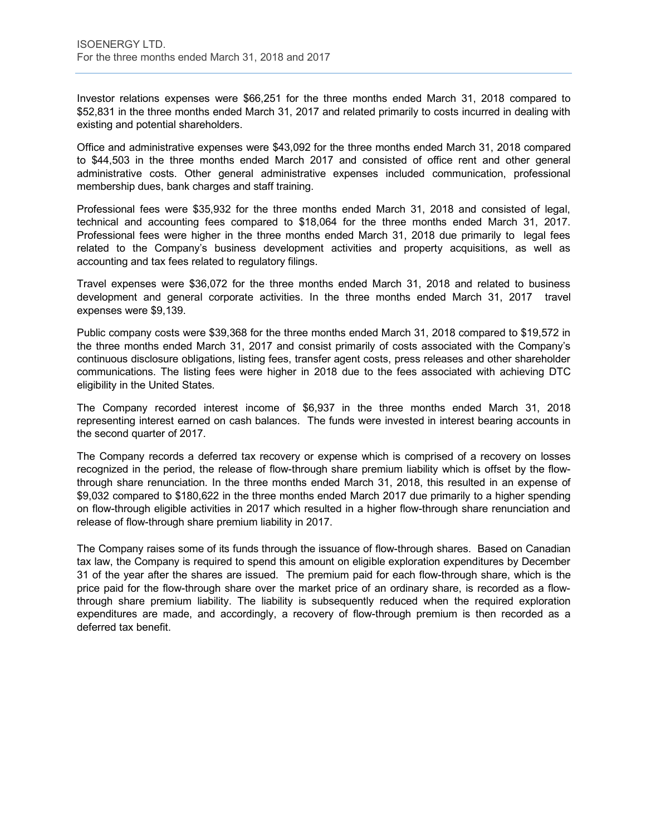Investor relations expenses were \$66,251 for the three months ended March 31, 2018 compared to \$52,831 in the three months ended March 31, 2017 and related primarily to costs incurred in dealing with existing and potential shareholders.

Office and administrative expenses were \$43,092 for the three months ended March 31, 2018 compared to \$44,503 in the three months ended March 2017 and consisted of office rent and other general administrative costs. Other general administrative expenses included communication, professional membership dues, bank charges and staff training.

Professional fees were \$35,932 for the three months ended March 31, 2018 and consisted of legal, technical and accounting fees compared to \$18,064 for the three months ended March 31, 2017. Professional fees were higher in the three months ended March 31, 2018 due primarily to legal fees related to the Company's business development activities and property acquisitions, as well as accounting and tax fees related to regulatory filings.

Travel expenses were \$36,072 for the three months ended March 31, 2018 and related to business development and general corporate activities. In the three months ended March 31, 2017 travel expenses were \$9,139.

Public company costs were \$39,368 for the three months ended March 31, 2018 compared to \$19,572 in the three months ended March 31, 2017 and consist primarily of costs associated with the Company's continuous disclosure obligations, listing fees, transfer agent costs, press releases and other shareholder communications. The listing fees were higher in 2018 due to the fees associated with achieving DTC eligibility in the United States.

The Company recorded interest income of \$6,937 in the three months ended March 31, 2018 representing interest earned on cash balances. The funds were invested in interest bearing accounts in the second quarter of 2017.

The Company records a deferred tax recovery or expense which is comprised of a recovery on losses recognized in the period, the release of flow-through share premium liability which is offset by the flowthrough share renunciation. In the three months ended March 31, 2018, this resulted in an expense of \$9,032 compared to \$180,622 in the three months ended March 2017 due primarily to a higher spending on flow-through eligible activities in 2017 which resulted in a higher flow-through share renunciation and release of flow-through share premium liability in 2017.

The Company raises some of its funds through the issuance of flow-through shares. Based on Canadian tax law, the Company is required to spend this amount on eligible exploration expenditures by December 31 of the year after the shares are issued. The premium paid for each flow-through share, which is the price paid for the flow-through share over the market price of an ordinary share, is recorded as a flowthrough share premium liability. The liability is subsequently reduced when the required exploration expenditures are made, and accordingly, a recovery of flow-through premium is then recorded as a deferred tax benefit.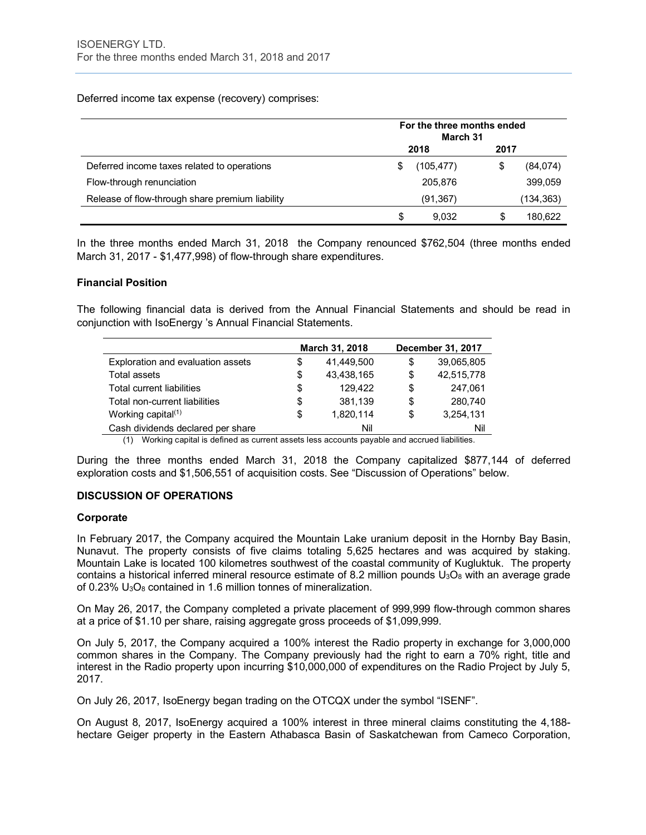Deferred income tax expense (recovery) comprises:

|                                                 | For the three months ended<br>March 31 |           |      |           |  |
|-------------------------------------------------|----------------------------------------|-----------|------|-----------|--|
|                                                 |                                        | 2018      | 2017 |           |  |
| Deferred income taxes related to operations     | \$                                     | (105,477) | \$   | (84, 074) |  |
| Flow-through renunciation                       |                                        | 205,876   |      | 399,059   |  |
| Release of flow-through share premium liability |                                        | (91, 367) |      | (134,363) |  |
|                                                 | S                                      | 9.032     |      | 180.622   |  |

In the three months ended March 31, 2018 the Company renounced \$762,504 (three months ended March 31, 2017 - \$1,477,998) of flow-through share expenditures.

# **Financial Position**

The following financial data is derived from the Annual Financial Statements and should be read in conjunction with IsoEnergy 's Annual Financial Statements.

|                                   |    | March 31, 2018 |   | December 31, 2017 |
|-----------------------------------|----|----------------|---|-------------------|
| Exploration and evaluation assets | S  | 41,449,500     | S | 39,065,805        |
| Total assets                      | \$ | 43,438,165     | S | 42,515,778        |
| Total current liabilities         | \$ | 129.422        | S | 247,061           |
| Total non-current liabilities     | \$ | 381,139        | S | 280,740           |
| Working capital $(1)$             | \$ | 1,820,114      | S | 3,254,131         |
| Cash dividends declared per share |    | Nil            |   | Nil               |

(1) Working capital is defined as current assets less accounts payable and accrued liabilities.

During the three months ended March 31, 2018 the Company capitalized \$877,144 of deferred exploration costs and \$1,506,551 of acquisition costs. See "Discussion of Operations" below.

# **DISCUSSION OF OPERATIONS**

#### **Corporate**

In February 2017, the Company acquired the Mountain Lake uranium deposit in the Hornby Bay Basin, Nunavut. The property consists of five claims totaling 5,625 hectares and was acquired by staking. Mountain Lake is located 100 kilometres southwest of the coastal community of Kugluktuk. The property contains a historical inferred mineral resource estimate of 8.2 million pounds  $U_3O_8$  with an average grade of 0.23% U<sub>3</sub>O<sub>8</sub> contained in 1.6 million tonnes of mineralization.

On May 26, 2017, the Company completed a private placement of 999,999 flow-through common shares at a price of \$1.10 per share, raising aggregate gross proceeds of \$1,099,999.

On July 5, 2017, the Company acquired a 100% interest the Radio property in exchange for 3,000,000 common shares in the Company. The Company previously had the right to earn a 70% right, title and interest in the Radio property upon incurring \$10,000,000 of expenditures on the Radio Project by July 5, 2017.

On July 26, 2017, IsoEnergy began trading on the OTCQX under the symbol "ISENF".

On August 8, 2017, IsoEnergy acquired a 100% interest in three mineral claims constituting the 4,188 hectare Geiger property in the Eastern Athabasca Basin of Saskatchewan from Cameco Corporation,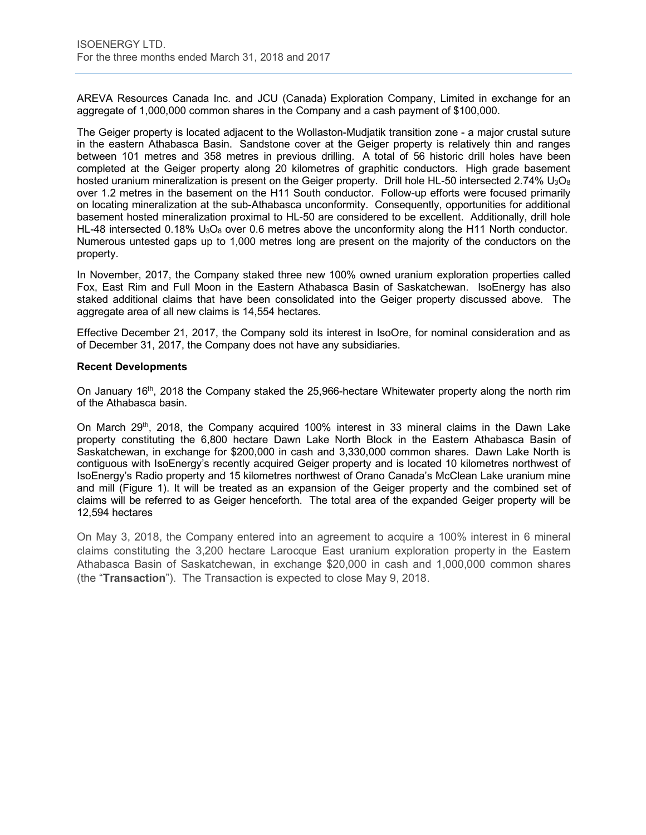AREVA Resources Canada Inc. and JCU (Canada) Exploration Company, Limited in exchange for an aggregate of 1,000,000 common shares in the Company and a cash payment of \$100,000.

The Geiger property is located adjacent to the Wollaston-Mudjatik transition zone - a major crustal suture in the eastern Athabasca Basin. Sandstone cover at the Geiger property is relatively thin and ranges between 101 metres and 358 metres in previous drilling. A total of 56 historic drill holes have been completed at the Geiger property along 20 kilometres of graphitic conductors. High grade basement hosted uranium mineralization is present on the Geiger property. Drill hole HL-50 intersected 2.74%  $U_3O_8$ over 1.2 metres in the basement on the H11 South conductor. Follow-up efforts were focused primarily on locating mineralization at the sub-Athabasca unconformity. Consequently, opportunities for additional basement hosted mineralization proximal to HL-50 are considered to be excellent. Additionally, drill hole HL-48 intersected 0.18%  $U_3O_8$  over 0.6 metres above the unconformity along the H11 North conductor. Numerous untested gaps up to 1,000 metres long are present on the majority of the conductors on the property.

In November, 2017, the Company staked three new 100% owned uranium exploration properties called Fox, East Rim and Full Moon in the Eastern Athabasca Basin of Saskatchewan. IsoEnergy has also staked additional claims that have been consolidated into the Geiger property discussed above. The aggregate area of all new claims is 14,554 hectares.

Effective December 21, 2017, the Company sold its interest in IsoOre, for nominal consideration and as of December 31, 2017, the Company does not have any subsidiaries.

#### **Recent Developments**

On January 16th, 2018 the Company staked the 25,966-hectare Whitewater property along the north rim of the Athabasca basin.

On March 29th, 2018, the Company acquired 100% interest in 33 mineral claims in the Dawn Lake property constituting the 6,800 hectare Dawn Lake North Block in the Eastern Athabasca Basin of Saskatchewan, in exchange for \$200,000 in cash and 3,330,000 common shares. Dawn Lake North is contiguous with IsoEnergy's recently acquired Geiger property and is located 10 kilometres northwest of IsoEnergy's Radio property and 15 kilometres northwest of Orano Canada's McClean Lake uranium mine and mill (Figure 1). It will be treated as an expansion of the Geiger property and the combined set of claims will be referred to as Geiger henceforth. The total area of the expanded Geiger property will be 12,594 hectares

On May 3, 2018, the Company entered into an agreement to acquire a 100% interest in 6 mineral claims constituting the 3,200 hectare Larocque East uranium exploration property in the Eastern Athabasca Basin of Saskatchewan, in exchange \$20,000 in cash and 1,000,000 common shares (the "**Transaction**"). The Transaction is expected to close May 9, 2018.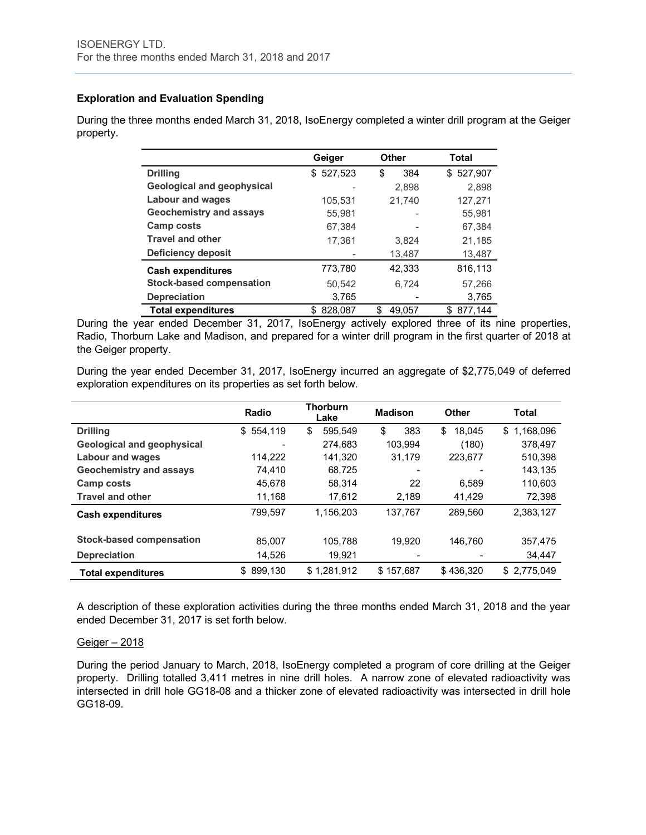# **Exploration and Evaluation Spending**

During the three months ended March 31, 2018, IsoEnergy completed a winter drill program at the Geiger property.

|                                   | Geiger        | Other       | Total         |
|-----------------------------------|---------------|-------------|---------------|
| <b>Drilling</b>                   | \$527,523     | \$<br>384   | 527,907<br>\$ |
| <b>Geological and geophysical</b> |               | 2,898       | 2,898         |
| <b>Labour and wages</b>           | 105,531       | 21,740      | 127,271       |
| <b>Geochemistry and assays</b>    | 55.981        |             | 55.981        |
| <b>Camp costs</b>                 | 67,384        |             | 67,384        |
| <b>Travel and other</b>           | 17,361        | 3.824       | 21,185        |
| Deficiency deposit                |               | 13,487      | 13,487        |
| <b>Cash expenditures</b>          | 773,780       | 42,333      | 816,113       |
| <b>Stock-based compensation</b>   | 50.542        | 6.724       | 57,266        |
| <b>Depreciation</b>               | 3,765         |             | 3,765         |
| <b>Total expenditures</b>         | 828,087<br>S. | 49.057<br>S | 877,144<br>S  |

During the year ended December 31, 2017, IsoEnergy actively explored three of its nine properties, Radio, Thorburn Lake and Madison, and prepared for a winter drill program in the first quarter of 2018 at the Geiger property.

During the year ended December 31, 2017, IsoEnergy incurred an aggregate of \$2,775,049 of deferred exploration expenditures on its properties as set forth below.

|                                   | Radio          | <b>Thorburn</b><br>Lake | <b>Madison</b> | Other        | Total           |
|-----------------------------------|----------------|-------------------------|----------------|--------------|-----------------|
| <b>Drilling</b>                   | \$554,119      | \$<br>595.549           | \$<br>383      | \$<br>18.045 | 1.168.096<br>\$ |
| <b>Geological and geophysical</b> |                | 274,683                 | 103.994        | (180)        | 378.497         |
| <b>Labour and wages</b>           | 114.222        | 141,320                 | 31,179         | 223,677      | 510.398         |
| <b>Geochemistry and assays</b>    | 74.410         | 68.725                  |                |              | 143.135         |
| Camp costs                        | 45.678         | 58.314                  | 22             | 6.589        | 110.603         |
| <b>Travel and other</b>           | 11,168         | 17,612                  | 2,189          | 41,429       | 72,398          |
| <b>Cash expenditures</b>          | 799.597        | 1.156.203               | 137.767        | 289.560      | 2.383.127       |
| <b>Stock-based compensation</b>   | 85.007         | 105.788                 | 19.920         | 146.760      | 357,475         |
| <b>Depreciation</b>               | 14,526         | 19,921                  |                |              | 34,447          |
| <b>Total expenditures</b>         | 899.130<br>\$. | \$1,281,912             | \$157,687      | \$436.320    | \$2.775.049     |

A description of these exploration activities during the three months ended March 31, 2018 and the year ended December 31, 2017 is set forth below.

#### Geiger – 2018

During the period January to March, 2018, IsoEnergy completed a program of core drilling at the Geiger property. Drilling totalled 3,411 metres in nine drill holes. A narrow zone of elevated radioactivity was intersected in drill hole GG18-08 and a thicker zone of elevated radioactivity was intersected in drill hole GG18-09.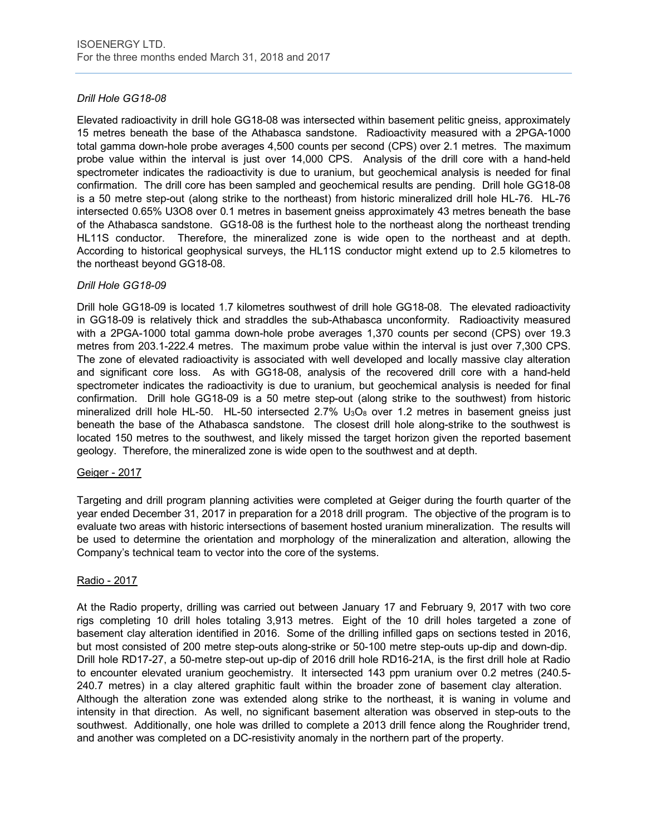# *Drill Hole GG18-08*

Elevated radioactivity in drill hole GG18-08 was intersected within basement pelitic gneiss, approximately 15 metres beneath the base of the Athabasca sandstone. Radioactivity measured with a 2PGA-1000 total gamma down-hole probe averages 4,500 counts per second (CPS) over 2.1 metres. The maximum probe value within the interval is just over 14,000 CPS. Analysis of the drill core with a hand-held spectrometer indicates the radioactivity is due to uranium, but geochemical analysis is needed for final confirmation. The drill core has been sampled and geochemical results are pending. Drill hole GG18-08 is a 50 metre step-out (along strike to the northeast) from historic mineralized drill hole HL-76. HL-76 intersected 0.65% U3O8 over 0.1 metres in basement gneiss approximately 43 metres beneath the base of the Athabasca sandstone. GG18-08 is the furthest hole to the northeast along the northeast trending HL11S conductor. Therefore, the mineralized zone is wide open to the northeast and at depth. According to historical geophysical surveys, the HL11S conductor might extend up to 2.5 kilometres to the northeast beyond GG18-08.

# *Drill Hole GG18-09*

Drill hole GG18-09 is located 1.7 kilometres southwest of drill hole GG18-08. The elevated radioactivity in GG18-09 is relatively thick and straddles the sub-Athabasca unconformity. Radioactivity measured with a 2PGA-1000 total gamma down-hole probe averages 1,370 counts per second (CPS) over 19.3 metres from 203.1-222.4 metres. The maximum probe value within the interval is just over 7,300 CPS. The zone of elevated radioactivity is associated with well developed and locally massive clay alteration and significant core loss. As with GG18-08, analysis of the recovered drill core with a hand-held spectrometer indicates the radioactivity is due to uranium, but geochemical analysis is needed for final confirmation. Drill hole GG18-09 is a 50 metre step-out (along strike to the southwest) from historic mineralized drill hole HL-50. HL-50 intersected  $2.7\%$  U<sub>3</sub>O<sub>8</sub> over 1.2 metres in basement gneiss just beneath the base of the Athabasca sandstone. The closest drill hole along-strike to the southwest is located 150 metres to the southwest, and likely missed the target horizon given the reported basement geology. Therefore, the mineralized zone is wide open to the southwest and at depth.

#### Geiger - 2017

Targeting and drill program planning activities were completed at Geiger during the fourth quarter of the year ended December 31, 2017 in preparation for a 2018 drill program. The objective of the program is to evaluate two areas with historic intersections of basement hosted uranium mineralization. The results will be used to determine the orientation and morphology of the mineralization and alteration, allowing the Company's technical team to vector into the core of the systems.

#### Radio - 2017

At the Radio property, drilling was carried out between January 17 and February 9, 2017 with two core rigs completing 10 drill holes totaling 3,913 metres. Eight of the 10 drill holes targeted a zone of basement clay alteration identified in 2016. Some of the drilling infilled gaps on sections tested in 2016, but most consisted of 200 metre step-outs along-strike or 50-100 metre step-outs up-dip and down-dip. Drill hole RD17-27, a 50-metre step-out up-dip of 2016 drill hole RD16-21A, is the first drill hole at Radio to encounter elevated uranium geochemistry. It intersected 143 ppm uranium over 0.2 metres (240.5- 240.7 metres) in a clay altered graphitic fault within the broader zone of basement clay alteration. Although the alteration zone was extended along strike to the northeast, it is waning in volume and intensity in that direction. As well, no significant basement alteration was observed in step-outs to the southwest. Additionally, one hole was drilled to complete a 2013 drill fence along the Roughrider trend, and another was completed on a DC-resistivity anomaly in the northern part of the property.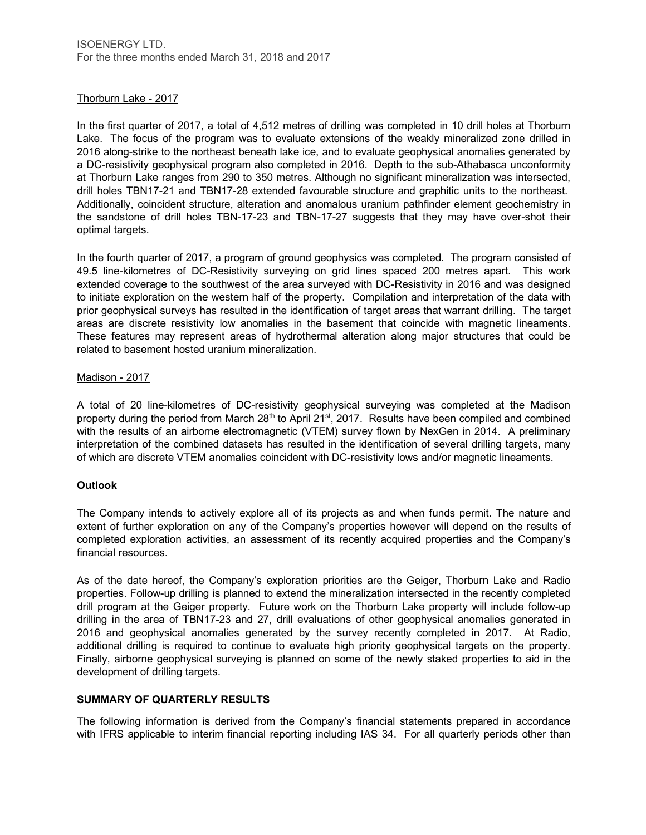# Thorburn Lake - 2017

In the first quarter of 2017, a total of 4,512 metres of drilling was completed in 10 drill holes at Thorburn Lake. The focus of the program was to evaluate extensions of the weakly mineralized zone drilled in 2016 along-strike to the northeast beneath lake ice, and to evaluate geophysical anomalies generated by a DC-resistivity geophysical program also completed in 2016. Depth to the sub-Athabasca unconformity at Thorburn Lake ranges from 290 to 350 metres. Although no significant mineralization was intersected, drill holes TBN17-21 and TBN17-28 extended favourable structure and graphitic units to the northeast. Additionally, coincident structure, alteration and anomalous uranium pathfinder element geochemistry in the sandstone of drill holes TBN-17-23 and TBN-17-27 suggests that they may have over-shot their optimal targets.

In the fourth quarter of 2017, a program of ground geophysics was completed. The program consisted of 49.5 line-kilometres of DC-Resistivity surveying on grid lines spaced 200 metres apart. This work extended coverage to the southwest of the area surveyed with DC-Resistivity in 2016 and was designed to initiate exploration on the western half of the property. Compilation and interpretation of the data with prior geophysical surveys has resulted in the identification of target areas that warrant drilling. The target areas are discrete resistivity low anomalies in the basement that coincide with magnetic lineaments. These features may represent areas of hydrothermal alteration along major structures that could be related to basement hosted uranium mineralization.

#### Madison - 2017

A total of 20 line-kilometres of DC-resistivity geophysical surveying was completed at the Madison property during the period from March 28<sup>th</sup> to April 21<sup>st</sup>, 2017. Results have been compiled and combined with the results of an airborne electromagnetic (VTEM) survey flown by NexGen in 2014. A preliminary interpretation of the combined datasets has resulted in the identification of several drilling targets, many of which are discrete VTEM anomalies coincident with DC-resistivity lows and/or magnetic lineaments.

#### **Outlook**

The Company intends to actively explore all of its projects as and when funds permit. The nature and extent of further exploration on any of the Company's properties however will depend on the results of completed exploration activities, an assessment of its recently acquired properties and the Company's financial resources.

As of the date hereof, the Company's exploration priorities are the Geiger, Thorburn Lake and Radio properties. Follow-up drilling is planned to extend the mineralization intersected in the recently completed drill program at the Geiger property. Future work on the Thorburn Lake property will include follow-up drilling in the area of TBN17-23 and 27, drill evaluations of other geophysical anomalies generated in 2016 and geophysical anomalies generated by the survey recently completed in 2017. At Radio, additional drilling is required to continue to evaluate high priority geophysical targets on the property. Finally, airborne geophysical surveying is planned on some of the newly staked properties to aid in the development of drilling targets.

#### **SUMMARY OF QUARTERLY RESULTS**

The following information is derived from the Company's financial statements prepared in accordance with IFRS applicable to interim financial reporting including IAS 34. For all quarterly periods other than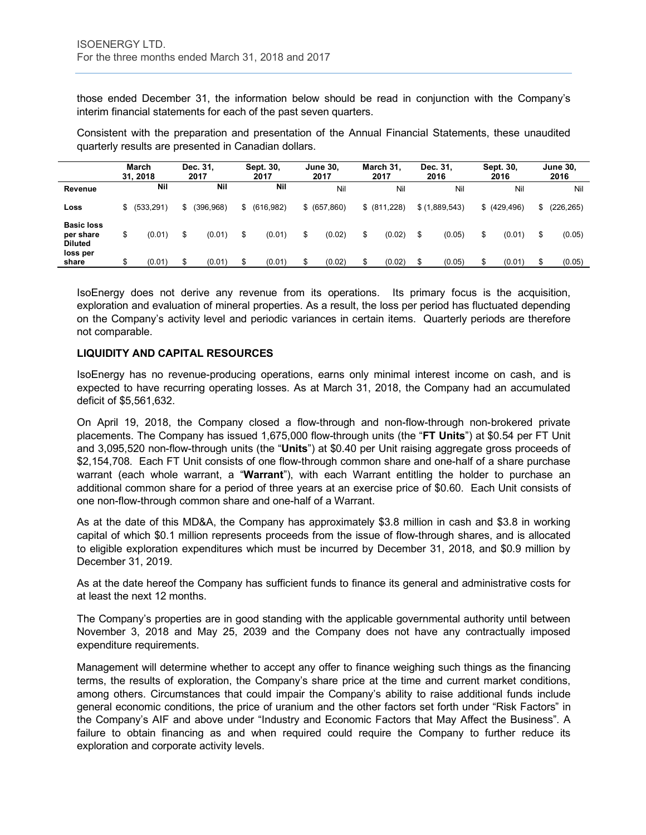those ended December 31, the information below should be read in conjunction with the Company's interim financial statements for each of the past seven quarters.

Consistent with the preparation and presentation of the Annual Financial Statements, these unaudited quarterly results are presented in Canadian dollars.

|                                                              |    | <b>March</b><br>31.2018 |    | Dec. 31.<br>2017 | Sept. 30.<br>2017 |    | <b>June 30.</b><br>2017 |    | March 31,<br>2017 | Dec. 31.<br>2016 | Sept. 30,<br>2016 | <b>June 30,</b><br>2016 |
|--------------------------------------------------------------|----|-------------------------|----|------------------|-------------------|----|-------------------------|----|-------------------|------------------|-------------------|-------------------------|
| <b>Revenue</b>                                               |    | Nil                     |    | Nil              | Nil               |    | Nil                     |    | Nil               | Nil              | Nil               | Nil                     |
| Loss                                                         | \$ | (533, 291)              | S. | (396, 968)       | \$<br>(616, 982)  |    | \$ (657, 860)           |    | \$ (811,228)      | \$(1,889,543)    | \$ (429, 496)     | \$<br>(226, 265)        |
| <b>Basic loss</b><br>per share<br><b>Diluted</b><br>loss per | \$ | (0.01)                  | \$ | (0.01)           | \$<br>(0.01)      | \$ | (0.02)                  | \$ | (0.02)            | (0.05)           | \$<br>(0.01)      | \$<br>(0.05)            |
| share                                                        | ጦ  | (0.01)                  | \$ | (0.01)           | \$<br>(0.01)      | S  | (0.02)                  | S  | (0.02)            | (0.05)           | \$<br>(0.01)      | \$<br>(0.05)            |

IsoEnergy does not derive any revenue from its operations. Its primary focus is the acquisition, exploration and evaluation of mineral properties. As a result, the loss per period has fluctuated depending on the Company's activity level and periodic variances in certain items. Quarterly periods are therefore not comparable.

# **LIQUIDITY AND CAPITAL RESOURCES**

IsoEnergy has no revenue-producing operations, earns only minimal interest income on cash, and is expected to have recurring operating losses. As at March 31, 2018, the Company had an accumulated deficit of \$5,561,632.

On April 19, 2018, the Company closed a flow-through and non-flow-through non-brokered private placements. The Company has issued 1,675,000 flow-through units (the "**FT Units**") at \$0.54 per FT Unit and 3,095,520 non-flow-through units (the "**Units**") at \$0.40 per Unit raising aggregate gross proceeds of \$2,154,708. Each FT Unit consists of one flow-through common share and one-half of a share purchase warrant (each whole warrant, a "**Warrant**"), with each Warrant entitling the holder to purchase an additional common share for a period of three years at an exercise price of \$0.60. Each Unit consists of one non-flow-through common share and one-half of a Warrant.

As at the date of this MD&A, the Company has approximately \$3.8 million in cash and \$3.8 in working capital of which \$0.1 million represents proceeds from the issue of flow-through shares, and is allocated to eligible exploration expenditures which must be incurred by December 31, 2018, and \$0.9 million by December 31, 2019.

As at the date hereof the Company has sufficient funds to finance its general and administrative costs for at least the next 12 months.

The Company's properties are in good standing with the applicable governmental authority until between November 3, 2018 and May 25, 2039 and the Company does not have any contractually imposed expenditure requirements.

Management will determine whether to accept any offer to finance weighing such things as the financing terms, the results of exploration, the Company's share price at the time and current market conditions, among others. Circumstances that could impair the Company's ability to raise additional funds include general economic conditions, the price of uranium and the other factors set forth under "Risk Factors" in the Company's AIF and above under "Industry and Economic Factors that May Affect the Business". A failure to obtain financing as and when required could require the Company to further reduce its exploration and corporate activity levels.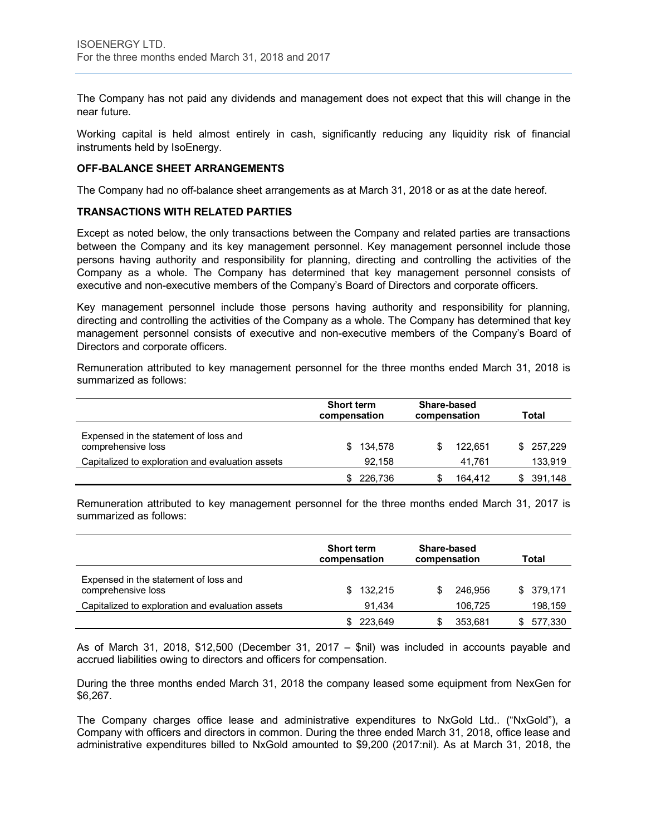The Company has not paid any dividends and management does not expect that this will change in the near future.

Working capital is held almost entirely in cash, significantly reducing any liquidity risk of financial instruments held by IsoEnergy.

#### **OFF-BALANCE SHEET ARRANGEMENTS**

The Company had no off-balance sheet arrangements as at March 31, 2018 or as at the date hereof.

#### **TRANSACTIONS WITH RELATED PARTIES**

Except as noted below, the only transactions between the Company and related parties are transactions between the Company and its key management personnel. Key management personnel include those persons having authority and responsibility for planning, directing and controlling the activities of the Company as a whole. The Company has determined that key management personnel consists of executive and non-executive members of the Company's Board of Directors and corporate officers.

Key management personnel include those persons having authority and responsibility for planning, directing and controlling the activities of the Company as a whole. The Company has determined that key management personnel consists of executive and non-executive members of the Company's Board of Directors and corporate officers.

Remuneration attributed to key management personnel for the three months ended March 31, 2018 is summarized as follows:

|                                                             | <b>Short term</b><br>compensation | Share-based<br>compensation | Total         |
|-------------------------------------------------------------|-----------------------------------|-----------------------------|---------------|
| Expensed in the statement of loss and<br>comprehensive loss | 134,578<br>S.                     | 122.651                     | 257,229<br>S. |
| Capitalized to exploration and evaluation assets            | 92.158                            | 41.761                      | 133,919       |
|                                                             | 226,736                           | 164.412                     | 391,148       |

Remuneration attributed to key management personnel for the three months ended March 31, 2017 is summarized as follows:

|                                                             | <b>Short term</b><br>compensation | Share-based<br>compensation | Total      |
|-------------------------------------------------------------|-----------------------------------|-----------------------------|------------|
| Expensed in the statement of loss and<br>comprehensive loss | 132.215<br>SS.                    | 246.956                     | \$ 379.171 |
| Capitalized to exploration and evaluation assets            | 91,434                            | 106.725                     | 198,159    |
|                                                             | 223.649                           | 353.681                     | 577,330    |

As of March 31, 2018, \$12,500 (December 31, 2017 – \$nil) was included in accounts payable and accrued liabilities owing to directors and officers for compensation.

During the three months ended March 31, 2018 the company leased some equipment from NexGen for \$6,267.

The Company charges office lease and administrative expenditures to NxGold Ltd.. ("NxGold"), a Company with officers and directors in common. During the three ended March 31, 2018, office lease and administrative expenditures billed to NxGold amounted to \$9,200 (2017:nil). As at March 31, 2018, the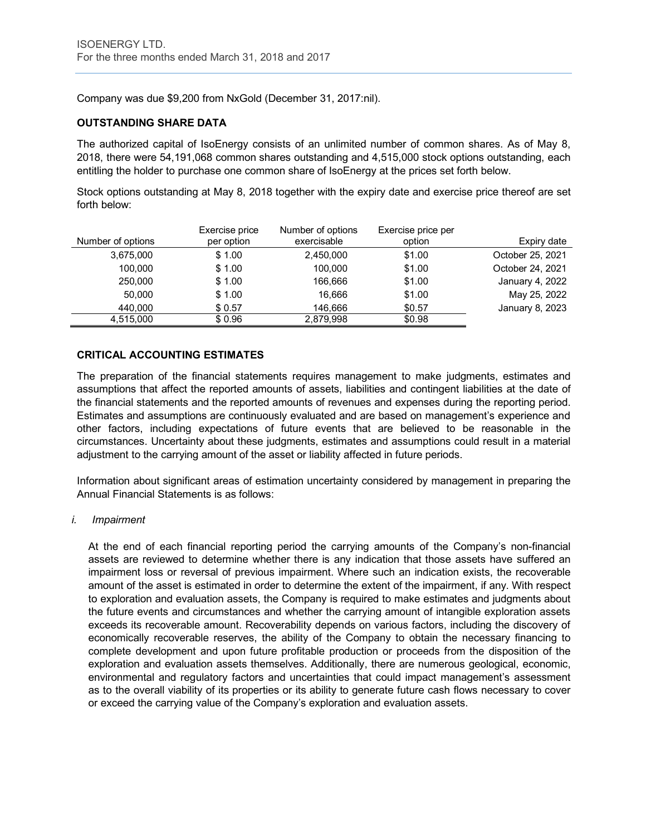Company was due \$9,200 from NxGold (December 31, 2017:nil).

# **OUTSTANDING SHARE DATA**

The authorized capital of IsoEnergy consists of an unlimited number of common shares. As of May 8, 2018, there were 54,191,068 common shares outstanding and 4,515,000 stock options outstanding, each entitling the holder to purchase one common share of IsoEnergy at the prices set forth below.

Stock options outstanding at May 8, 2018 together with the expiry date and exercise price thereof are set forth below:

|                   | Exercise price | Number of options | Exercise price per |                  |
|-------------------|----------------|-------------------|--------------------|------------------|
| Number of options | per option     | exercisable       | option             | Expiry date      |
| 3,675,000         | \$1.00         | 2.450.000         | \$1.00             | October 25, 2021 |
| 100.000           | \$1.00         | 100.000           | \$1.00             | October 24, 2021 |
| 250,000           | \$1.00         | 166.666           | \$1.00             | January 4, 2022  |
| 50.000            | \$1.00         | 16.666            | \$1.00             | May 25, 2022     |
| 440.000           | \$0.57         | 146.666           | \$0.57             | January 8, 2023  |
| 4.515.000         | \$0.96         | 2,879,998         | \$0.98             |                  |

# **CRITICAL ACCOUNTING ESTIMATES**

The preparation of the financial statements requires management to make judgments, estimates and assumptions that affect the reported amounts of assets, liabilities and contingent liabilities at the date of the financial statements and the reported amounts of revenues and expenses during the reporting period. Estimates and assumptions are continuously evaluated and are based on management's experience and other factors, including expectations of future events that are believed to be reasonable in the circumstances. Uncertainty about these judgments, estimates and assumptions could result in a material adjustment to the carrying amount of the asset or liability affected in future periods.

Information about significant areas of estimation uncertainty considered by management in preparing the Annual Financial Statements is as follows:

#### *i. Impairment*

At the end of each financial reporting period the carrying amounts of the Company's non-financial assets are reviewed to determine whether there is any indication that those assets have suffered an impairment loss or reversal of previous impairment. Where such an indication exists, the recoverable amount of the asset is estimated in order to determine the extent of the impairment, if any. With respect to exploration and evaluation assets, the Company is required to make estimates and judgments about the future events and circumstances and whether the carrying amount of intangible exploration assets exceeds its recoverable amount. Recoverability depends on various factors, including the discovery of economically recoverable reserves, the ability of the Company to obtain the necessary financing to complete development and upon future profitable production or proceeds from the disposition of the exploration and evaluation assets themselves. Additionally, there are numerous geological, economic, environmental and regulatory factors and uncertainties that could impact management's assessment as to the overall viability of its properties or its ability to generate future cash flows necessary to cover or exceed the carrying value of the Company's exploration and evaluation assets.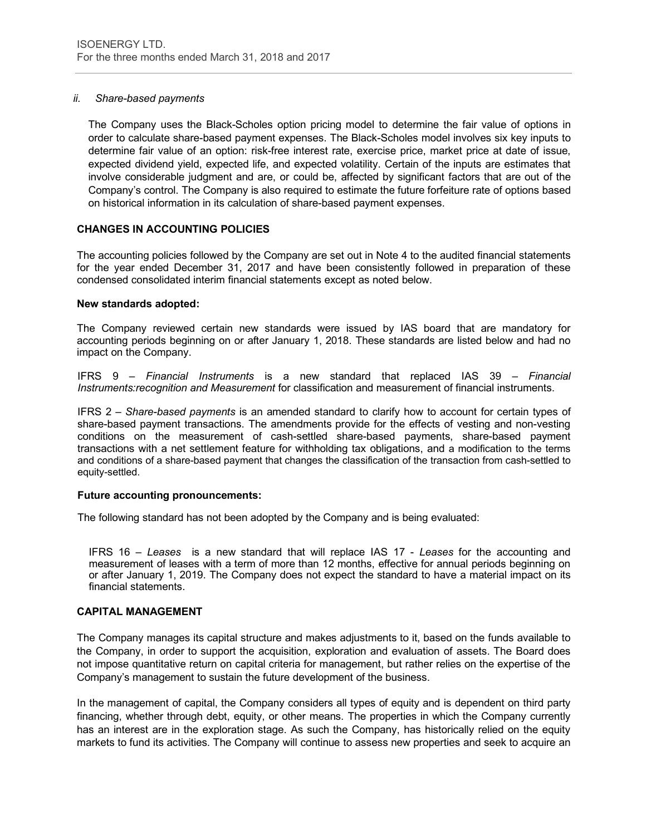# *ii. Share-based payments*

The Company uses the Black-Scholes option pricing model to determine the fair value of options in order to calculate share-based payment expenses. The Black-Scholes model involves six key inputs to determine fair value of an option: risk-free interest rate, exercise price, market price at date of issue, expected dividend yield, expected life, and expected volatility. Certain of the inputs are estimates that involve considerable judgment and are, or could be, affected by significant factors that are out of the Company's control. The Company is also required to estimate the future forfeiture rate of options based on historical information in its calculation of share-based payment expenses.

# **CHANGES IN ACCOUNTING POLICIES**

The accounting policies followed by the Company are set out in Note 4 to the audited financial statements for the year ended December 31, 2017 and have been consistently followed in preparation of these condensed consolidated interim financial statements except as noted below.

#### **New standards adopted:**

The Company reviewed certain new standards were issued by IAS board that are mandatory for accounting periods beginning on or after January 1, 2018. These standards are listed below and had no impact on the Company.

IFRS 9 – *Financial Instruments* is a new standard that replaced IAS 39 – *Financial Instruments:recognition and Measurement* for classification and measurement of financial instruments.

IFRS 2 – *Share-based payments* is an amended standard to clarify how to account for certain types of share-based payment transactions. The amendments provide for the effects of vesting and non-vesting conditions on the measurement of cash-settled share-based payments, share-based payment transactions with a net settlement feature for withholding tax obligations, and a modification to the terms and conditions of a share-based payment that changes the classification of the transaction from cash-settled to equity-settled.

#### **Future accounting pronouncements:**

The following standard has not been adopted by the Company and is being evaluated:

IFRS 16 – *Leases* is a new standard that will replace IAS 17 - *Leases* for the accounting and measurement of leases with a term of more than 12 months, effective for annual periods beginning on or after January 1, 2019. The Company does not expect the standard to have a material impact on its financial statements.

#### **CAPITAL MANAGEMENT**

The Company manages its capital structure and makes adjustments to it, based on the funds available to the Company, in order to support the acquisition, exploration and evaluation of assets. The Board does not impose quantitative return on capital criteria for management, but rather relies on the expertise of the Company's management to sustain the future development of the business.

In the management of capital, the Company considers all types of equity and is dependent on third party financing, whether through debt, equity, or other means. The properties in which the Company currently has an interest are in the exploration stage. As such the Company, has historically relied on the equity markets to fund its activities. The Company will continue to assess new properties and seek to acquire an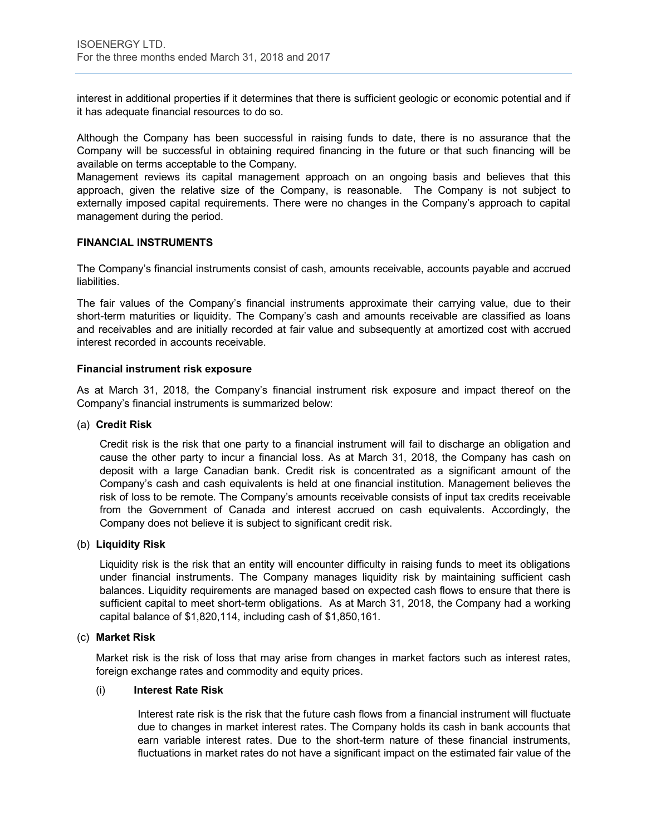interest in additional properties if it determines that there is sufficient geologic or economic potential and if it has adequate financial resources to do so.

Although the Company has been successful in raising funds to date, there is no assurance that the Company will be successful in obtaining required financing in the future or that such financing will be available on terms acceptable to the Company.

Management reviews its capital management approach on an ongoing basis and believes that this approach, given the relative size of the Company, is reasonable. The Company is not subject to externally imposed capital requirements. There were no changes in the Company's approach to capital management during the period.

# **FINANCIAL INSTRUMENTS**

The Company's financial instruments consist of cash, amounts receivable, accounts payable and accrued liabilities.

The fair values of the Company's financial instruments approximate their carrying value, due to their short-term maturities or liquidity. The Company's cash and amounts receivable are classified as loans and receivables and are initially recorded at fair value and subsequently at amortized cost with accrued interest recorded in accounts receivable.

# **Financial instrument risk exposure**

As at March 31, 2018, the Company's financial instrument risk exposure and impact thereof on the Company's financial instruments is summarized below:

#### (a) **Credit Risk**

Credit risk is the risk that one party to a financial instrument will fail to discharge an obligation and cause the other party to incur a financial loss. As at March 31, 2018, the Company has cash on deposit with a large Canadian bank. Credit risk is concentrated as a significant amount of the Company's cash and cash equivalents is held at one financial institution. Management believes the risk of loss to be remote. The Company's amounts receivable consists of input tax credits receivable from the Government of Canada and interest accrued on cash equivalents. Accordingly, the Company does not believe it is subject to significant credit risk.

#### (b) **Liquidity Risk**

Liquidity risk is the risk that an entity will encounter difficulty in raising funds to meet its obligations under financial instruments. The Company manages liquidity risk by maintaining sufficient cash balances. Liquidity requirements are managed based on expected cash flows to ensure that there is sufficient capital to meet short-term obligations. As at March 31, 2018, the Company had a working capital balance of \$1,820,114, including cash of \$1,850,161.

#### (c) **Market Risk**

Market risk is the risk of loss that may arise from changes in market factors such as interest rates, foreign exchange rates and commodity and equity prices.

#### (i) **Interest Rate Risk**

Interest rate risk is the risk that the future cash flows from a financial instrument will fluctuate due to changes in market interest rates. The Company holds its cash in bank accounts that earn variable interest rates. Due to the short-term nature of these financial instruments, fluctuations in market rates do not have a significant impact on the estimated fair value of the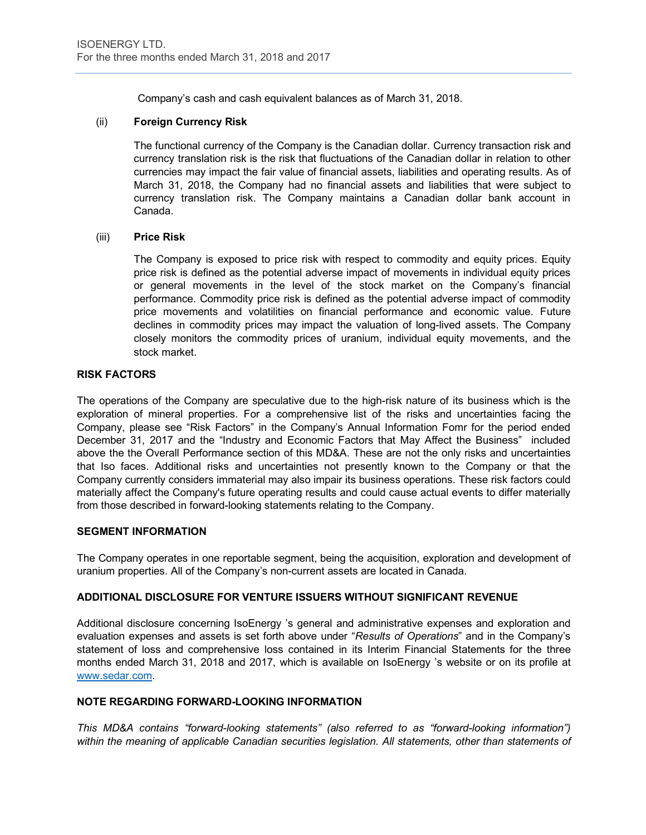Company's cash and cash equivalent balances as of March 31, 2018.

# (ii) **Foreign Currency Risk**

The functional currency of the Company is the Canadian dollar. Currency transaction risk and currency translation risk is the risk that fluctuations of the Canadian dollar in relation to other currencies may impact the fair value of financial assets, liabilities and operating results. As of March 31, 2018, the Company had no financial assets and liabilities that were subject to currency translation risk. The Company maintains a Canadian dollar bank account in Canada.

#### (iii) **Price Risk**

The Company is exposed to price risk with respect to commodity and equity prices. Equity price risk is defined as the potential adverse impact of movements in individual equity prices or general movements in the level of the stock market on the Company's financial performance. Commodity price risk is defined as the potential adverse impact of commodity price movements and volatilities on financial performance and economic value. Future declines in commodity prices may impact the valuation of long-lived assets. The Company closely monitors the commodity prices of uranium, individual equity movements, and the stock market.

# **RISK FACTORS**

The operations of the Company are speculative due to the high-risk nature of its business which is the exploration of mineral properties. For a comprehensive list of the risks and uncertainties facing the Company, please see "Risk Factors" in the Company's Annual Information Fomr for the period ended December 31, 2017 and the "Industry and Economic Factors that May Affect the Business" included above the the Overall Performance section of this MD&A. These are not the only risks and uncertainties that Iso faces. Additional risks and uncertainties not presently known to the Company or that the Company currently considers immaterial may also impair its business operations. These risk factors could materially affect the Company's future operating results and could cause actual events to differ materially from those described in forward-looking statements relating to the Company.

#### **SEGMENT INFORMATION**

The Company operates in one reportable segment, being the acquisition, exploration and development of uranium properties. All of the Company's non-current assets are located in Canada.

#### **ADDITIONAL DISCLOSURE FOR VENTURE ISSUERS WITHOUT SIGNIFICANT REVENUE**

Additional disclosure concerning IsoEnergy 's general and administrative expenses and exploration and evaluation expenses and assets is set forth above under "*Results of Operations*" and in the Company's statement of loss and comprehensive loss contained in its Interim Financial Statements for the three months ended March 31, 2018 and 2017, which is available on IsoEnergy 's website or on its profile at www.sedar.com.

# **NOTE REGARDING FORWARD-LOOKING INFORMATION**

*This MD&A contains "forward-looking statements" (also referred to as "forward-looking information")*  within the meaning of applicable Canadian securities legislation. All statements, other than statements of